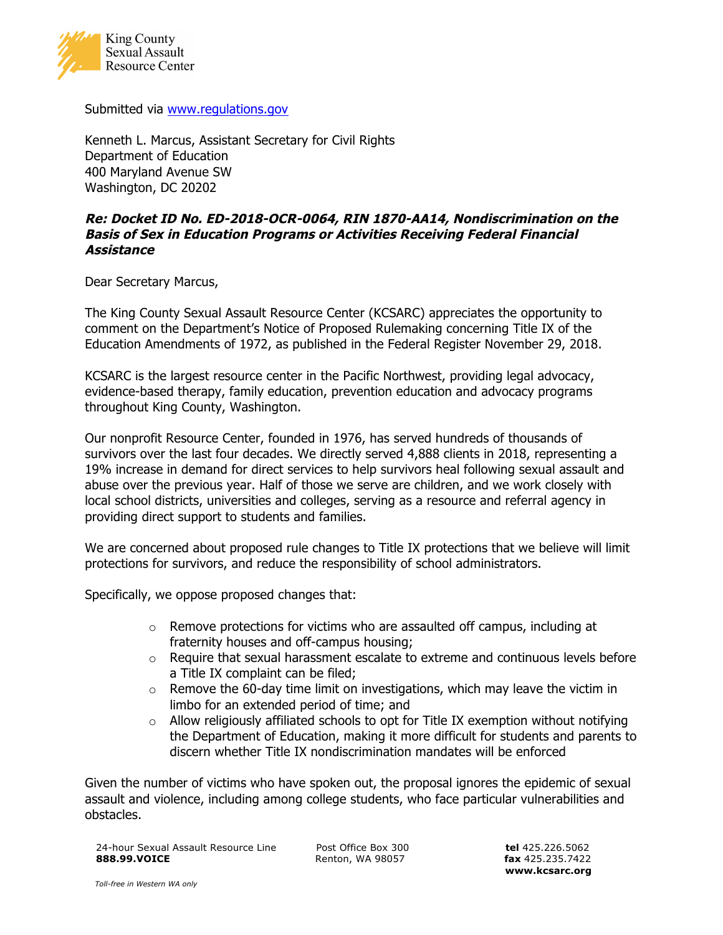

Submitted via www.regulations.gov

Kenneth L. Marcus, Assistant Secretary for Civil Rights Department of Education 400 Maryland Avenue SW Washington, DC 20202

## **Re: Docket ID No. ED-2018-OCR-0064, RIN 1870-AA14, Nondiscrimination on the Basis of Sex in Education Programs or Activities Receiving Federal Financial Assistance**

Dear Secretary Marcus,

The King County Sexual Assault Resource Center (KCSARC) appreciates the opportunity to comment on the Department's Notice of Proposed Rulemaking concerning Title IX of the Education Amendments of 1972, as published in the Federal Register November 29, 2018.

KCSARC is the largest resource center in the Pacific Northwest, providing legal advocacy, evidence-based therapy, family education, prevention education and advocacy programs throughout King County, Washington.

Our nonprofit Resource Center, founded in 1976, has served hundreds of thousands of survivors over the last four decades. We directly served 4,888 clients in 2018, representing a 19% increase in demand for direct services to help survivors heal following sexual assault and abuse over the previous year. Half of those we serve are children, and we work closely with local school districts, universities and colleges, serving as a resource and referral agency in providing direct support to students and families.

We are concerned about proposed rule changes to Title IX protections that we believe will limit protections for survivors, and reduce the responsibility of school administrators.

Specifically, we oppose proposed changes that:

- $\circ$  Remove protections for victims who are assaulted off campus, including at fraternity houses and off-campus housing;
- $\circ$  Require that sexual harassment escalate to extreme and continuous levels before a Title IX complaint can be filed;
- $\circ$  Remove the 60-day time limit on investigations, which may leave the victim in limbo for an extended period of time; and
- $\circ$  Allow religiously affiliated schools to opt for Title IX exemption without notifying the Department of Education, making it more difficult for students and parents to discern whether Title IX nondiscrimination mandates will be enforced

Given the number of victims who have spoken out, the proposal ignores the epidemic of sexual assault and violence, including among college students, who face particular vulnerabilities and obstacles.

24-hour Sexual Assault Resource Line Post Office Box 300 **tel** 425.226.5062 **888.99.VOICE** Renton, WA 98057 **fax** 425.235.7422

**www.kcsarc.org**